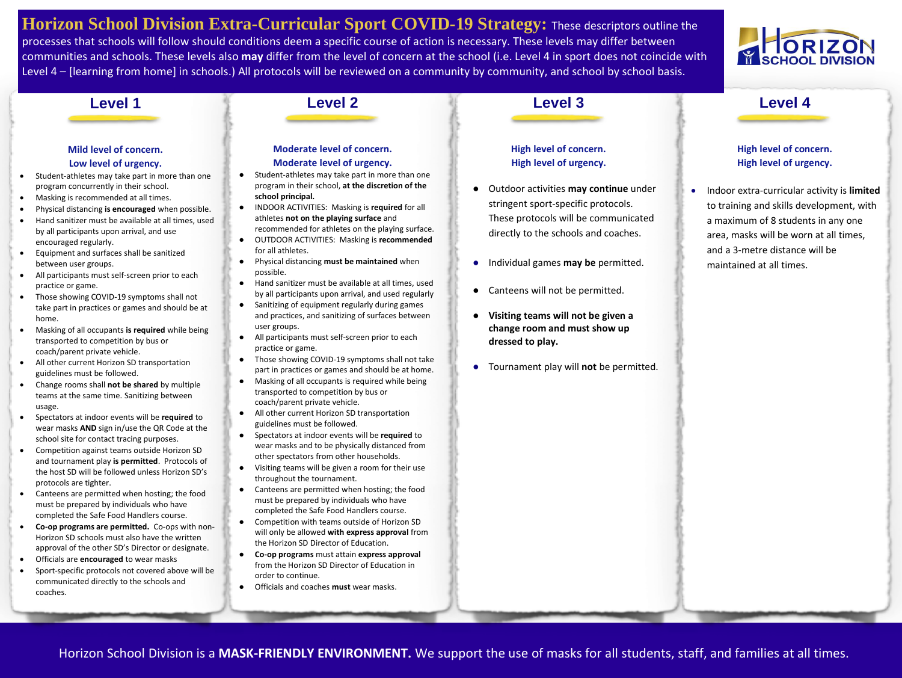**Horizon School Division Extra-Curricular Sport COVID-19 Strategy:** These descriptors outline the processes that schools will follow should conditions deem a specific course of action is necessary. These levels may differ between communities and schools. These levels also **may** differ from the level of concern at the school (i.e. Level 4 in sport does not coincide with Level 4 – [learning from home] in schools.) All protocols will be reviewed on a community by community, and school by school basis.

### **Level 1**

### **Mild level of concern. Low level of urgency.**

- Student-athletes may take part in more than one program concurrently in their school.
- Masking is recommended at all times.
- Physical distancing **is encouraged** when possible.
- Hand sanitizer must be available at all times, used by all participants upon arrival, and use encouraged regularly.
- Equipment and surfaces shall be sanitized between user groups.
- All participants must self-screen prior to each practice or game.
- Those showing COVID-19 symptoms shall not take part in practices or games and should be at home.
- Masking of all occupants **is required** while being transported to competition by bus or coach/parent private vehicle.
- All other current Horizon SD transportation guidelines must be followed.
- Change rooms shall **not be shared** by multiple teams at the same time. Sanitizing between usage.
- Spectators at indoor events will be **required** to wear masks **AND** sign in/use the QR Code at the school site for contact tracing purposes.
- Competition against teams outside Horizon SD and tournament play **is permitted**. Protocols of the host SD will be followed unless Horizon SD's protocols are tighter.
- Canteens are permitted when hosting; the food must be prepared by individuals who have completed the Safe Food Handlers course.
- **Co-op programs are permitted.** Co-ops with non-Horizon SD schools must also have the written approval of the other SD's Director or designate.
- Officials are **encouraged** to wear masks
- Sport-specific protocols not covered above will be communicated directly to the schools and coaches.

# **Moderate level of concern.**

### **Moderate level of urgency.**

- Student-athletes may take part in more than one program in their school, **at the discretion of the school principal.**
- INDOOR ACTIVITIES: Masking is **required** for all athletes **not on the playing surface** and
- recommended for athletes on the playing surface. ● OUTDOOR ACTIVITIES: Masking is **recommended** for all athletes.
- Physical distancing **must be maintained** when possible.
- Hand sanitizer must be available at all times, used by all participants upon arrival, and used regularly
- Sanitizing of equipment regularly during games and practices, and sanitizing of surfaces between user groups.
- All participants must self-screen prior to each practice or game.
- Those showing COVID-19 symptoms shall not take part in practices or games and should be at home.
- Masking of all occupants is required while being transported to competition by bus or coach/parent private vehicle.
- All other current Horizon SD transportation guidelines must be followed.
- Spectators at indoor events will be **required** to wear masks and to be physically distanced from other spectators from other households.
- Visiting teams will be given a room for their use throughout the tournament.
- Canteens are permitted when hosting; the food must be prepared by individuals who have completed the Safe Food Handlers course.
- Competition with teams outside of Horizon SD will only be allowed **with express approval** from the Horizon SD Director of Education.
- **Co-op programs** must attain **express approval** from the Horizon SD Director of Education in order to continue.
- Officials and coaches **must** wear masks.

### **High level of concern. High level of urgency.**

- Outdoor activities **may continue** under stringent sport-specific protocols. These protocols will be communicated directly to the schools and coaches.
- Individual games **may be** permitted.
- Canteens will not be permitted.
- **Visiting teams will not be given a change room and must show up dressed to play.**
- Tournament play will **not** be permitted.

### **High level of concern. High level of urgency.**

**Level 4**

**SCHOOL DIVISIO** 

• Indoor extra-curricular activity is **limited** to training and skills development, with a maximum of 8 students in any one area, masks will be worn at all times, and a 3-metre distance will be maintained at all times.

Horizon School Division is a **MASK-FRIENDLY ENVIRONMENT.** We support the use of masks for all students, staff, and families at all times.

# **Level 3**

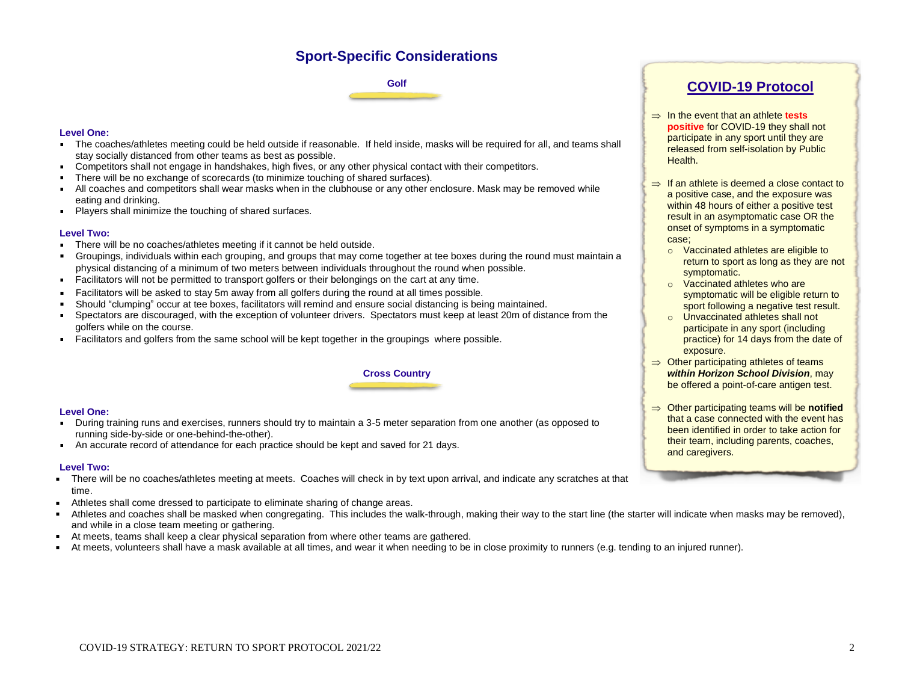## **Sport-Specific Considerations**

**Golf**

### **Level One:**

- The coaches/athletes meeting could be held outside if reasonable. If held inside, masks will be required for all, and teams shall stay socially distanced from other teams as best as possible.
- Competitors shall not engage in handshakes, high fives, or any other physical contact with their competitors.
- There will be no exchange of scorecards (to minimize touching of shared surfaces).  $\blacksquare$
- All coaches and competitors shall wear masks when in the clubhouse or any other enclosure. Mask may be removed while  $\blacksquare$ eating and drinking.
- **Players shall minimize the touching of shared surfaces.**

### **Level Two:**

- There will be no coaches/athletes meeting if it cannot be held outside.  $\blacksquare$
- Groupings, individuals within each grouping, and groups that may come together at tee boxes during the round must maintain a  $\blacksquare$ physical distancing of a minimum of two meters between individuals throughout the round when possible.
- Facilitators will not be permitted to transport golfers or their belongings on the cart at any time.
- Facilitators will be asked to stay 5m away from all golfers during the round at all times possible.  $\blacksquare$
- Should "clumping" occur at tee boxes, facilitators will remind and ensure social distancing is being maintained.  $\blacksquare$
- Spectators are discouraged, with the exception of volunteer drivers. Spectators must keep at least 20m of distance from the  $\blacksquare$ golfers while on the course.
- Facilitators and golfers from the same school will be kept together in the groupings where possible.



### **Level One:**

- During training runs and exercises, runners should try to maintain a 3-5 meter separation from one another (as opposed to running side-by-side or one-behind-the-other).
- An accurate record of attendance for each practice should be kept and saved for 21 days.

### **Level Two:**

- There will be no coaches/athletes meeting at meets. Coaches will check in by text upon arrival, and indicate any scratches at that  $\blacksquare$ time.
- Athletes shall come dressed to participate to eliminate sharing of change areas.  $\blacksquare$
- Athletes and coaches shall be masked when congregating. This includes the walk-through, making their way to the start line (the starter will indicate when masks may be removed),  $\blacksquare$ and while in a close team meeting or gathering.
- At meets, teams shall keep a clear physical separation from where other teams are gathered.
- At meets, volunteers shall have a mask available at all times, and wear it when needing to be in close proximity to runners (e.g. tending to an injured runner).

**Cross Country**

### **COVID-19 Protocol**

- $\Rightarrow$  In the event that an athlete **tests positive** for COVID-19 they shall not participate in any sport until they are released from self-isolation by Public Health.
- $\Rightarrow$  If an athlete is deemed a close contact to a positive case, and the exposure was within 48 hours of either a positive test result in an asymptomatic case OR the onset of symptoms in a symptomatic case;
	- o Vaccinated athletes are eligible to return to sport as long as they are not symptomatic.
	- o Vaccinated athletes who are symptomatic will be eligible return to sport following a negative test result.
	- o Unvaccinated athletes shall not participate in any sport (including practice) for 14 days from the date of exposure.
- $\Rightarrow$  Other participating athletes of teams *within Horizon School Division*, may be offered a point-of-care antigen test.
- $\Rightarrow$  Other participating teams will be **notified** that a case connected with the event has been identified in order to take action for their team, including parents, coaches, and caregivers.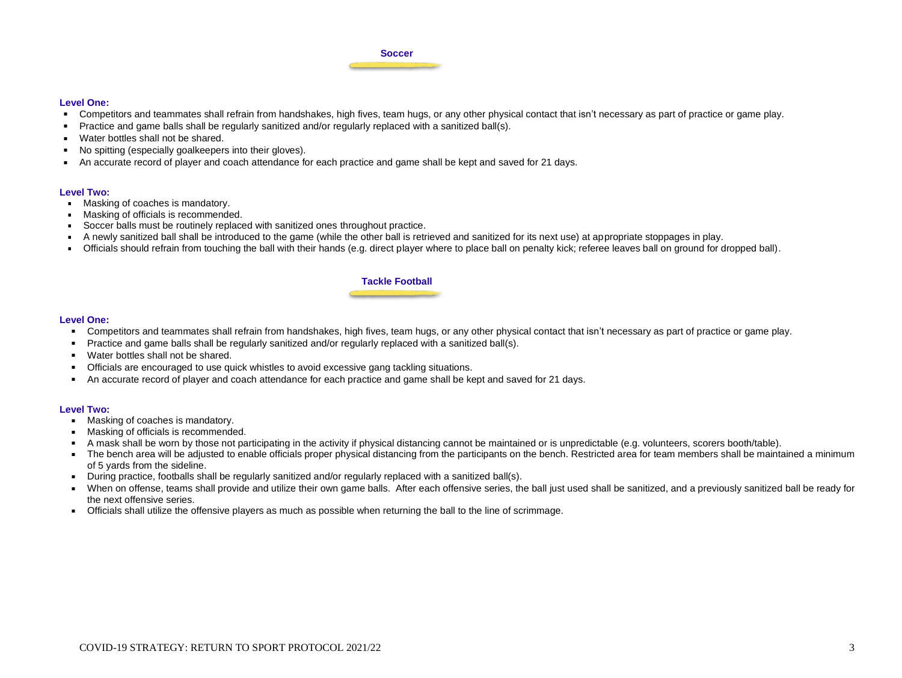#### **Soccer**

### **Level One:**

- Competitors and teammates shall refrain from handshakes, high fives, team hugs, or any other physical contact that isn't necessary as part of practice or game play.
- Practice and game balls shall be regularly sanitized and/or regularly replaced with a sanitized ball(s).  $\blacksquare$
- **Water bottles shall not be shared.**
- No spitting (especially goalkeepers into their gloves).  $\blacksquare$
- An accurate record of player and coach attendance for each practice and game shall be kept and saved for 21 days.  $\blacksquare$

### **Level Two:**

- $\blacksquare$ Masking of coaches is mandatory.
- **Masking of officials is recommended.**
- Soccer balls must be routinely replaced with sanitized ones throughout practice.  $\blacksquare$
- A newly sanitized ball shall be introduced to the game (while the other ball is retrieved and sanitized for its next use) at appropriate stoppages in play.  $\blacksquare$
- Officials should refrain from touching the ball with their hands (e.g. direct player where to place ball on penalty kick; referee leaves ball on ground for dropped ball).

### **Tackle Football**

### **Level One:**

- Competitors and teammates shall refrain from handshakes, high fives, team hugs, or any other physical contact that isn't necessary as part of practice or game play.
- Practice and game balls shall be regularly sanitized and/or regularly replaced with a sanitized ball(s).  $\blacksquare$
- Water bottles shall not be shared.
- **Officials are encouraged to use quick whistles to avoid excessive gang tackling situations.**
- An accurate record of player and coach attendance for each practice and game shall be kept and saved for 21 days.

#### **Level Two:**

- $\blacksquare$ Masking of coaches is mandatory.
- **Masking of officials is recommended.**
- A mask shall be worn by those not participating in the activity if physical distancing cannot be maintained or is unpredictable (e.g. volunteers, scorers booth/table).  $\blacksquare$
- The bench area will be adjusted to enable officials proper physical distancing from the participants on the bench. Restricted area for team members shall be maintained a minimum of 5 yards from the sideline.
- During practice, footballs shall be regularly sanitized and/or regularly replaced with a sanitized ball(s).
- When on offense, teams shall provide and utilize their own game balls. After each offensive series, the ball just used shall be sanitized, and a previously sanitized ball be ready for the next offensive series.
- Officials shall utilize the offensive players as much as possible when returning the ball to the line of scrimmage.